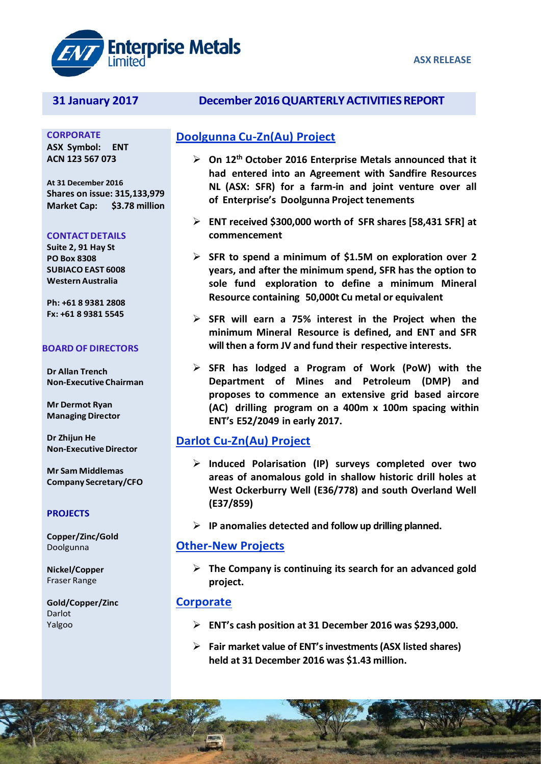

**CORPORATE ASX Symbol: ENT ACN 123 567 073**

**At 31 December 2016 Shares on issue: 315,133,979 Market Cap: \$3.78 million**

#### **CONTACTDETAILS**

**Suite 2, 91 Hay St PO Box 8308 SUBIACOEAST 6008 WesternAustralia**

**Ph: +61 8 9381 2808 Fx: +61 8 9381 5545**

#### **BOARD OF DIRECTORS**

**Dr Allan Trench Non-ExecutiveChairman**

**Mr Dermot Ryan Managing Director**

**Dr Zhijun He Non-Executive Director** 

**Mr Sam Middlemas Company Secretary/CFO**

#### **PROJECTS**

**Copper/Zinc/Gold** Doolgunna

**Nickel/Copper** Fraser Range

**Gold/Copper/Zinc** Darlot Yalgoo

## **31 January 2017 December 2016QUARTERLYACTIVITIESREPORT**

## **Doolgunna Cu-Zn(Au) Project**

- **On 12th October 2016 Enterprise Metals announced that it had entered into an Agreement with Sandfire Resources NL (ASX: SFR) for a farm-in and joint venture over all of Enterprise's Doolgunna Project tenements**
- **ENT received \$300,000 worth of SFR shares [58,431 SFR] at commencement**
- **SFR to spend a minimum of \$1.5M on exploration over 2 years, and after the minimum spend, SFR has the option to sole fund exploration to define a minimum Mineral Resource containing 50,000t Cu metal or equivalent**
- **SFR will earn a 75% interest in the Project when the minimum Mineral Resource is defined, and ENT and SFR will then a form JV and fund their respective interests.**
- **SFR has lodged a Program of Work (PoW) with the Department of Mines and Petroleum (DMP) and proposes to commence an extensive grid based aircore (AC) drilling program on a 400m x 100m spacing within ENT's E52/2049 in early 2017.**

## **Darlot Cu-Zn(Au) Project**

- **Induced Polarisation (IP) surveys completed over two areas of anomalous gold in shallow historic drill holes at West Ockerburry Well (E36/778) and south Overland Well (E37/859)**
- **IP anomalies detected and follow up drilling planned.**

#### **Other-New Projects**

 **The Company is continuing its search for an advanced gold project.**

#### **Corporate**

- **ENT's cash position at 31 December 2016 was \$293,000.**
- **Fair market value of ENT's investments (ASX listed shares) held at 31 December 2016 was \$1.43 million.**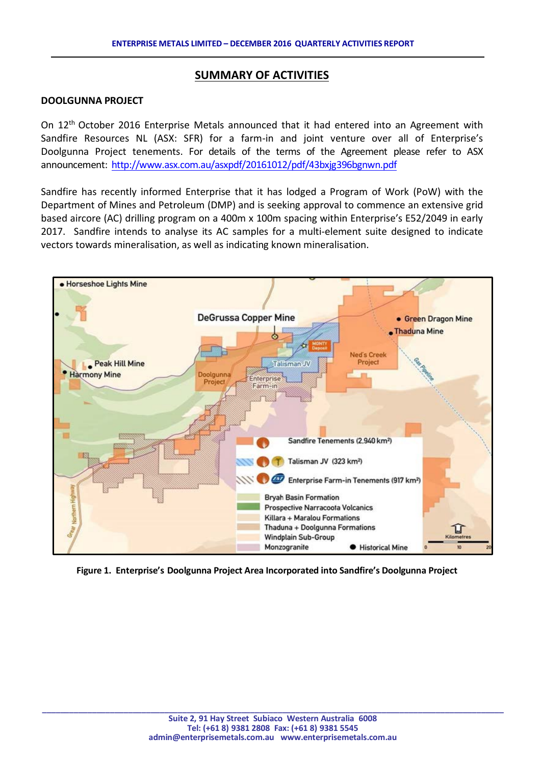## **SUMMARY OF ACTIVITIES**

#### **DOOLGUNNA PROJECT**

On 12th October 2016 Enterprise Metals announced that it had entered into an Agreement with Sandfire Resources NL (ASX: SFR) for a farm-in and joint venture over all of Enterprise's Doolgunna Project tenements. For details of the terms of the Agreement please refer to ASX announcement:<http://www.asx.com.au/asxpdf/20161012/pdf/43bxjg396bgnwn.pdf>

Sandfire has recently informed Enterprise that it has lodged a Program of Work (PoW) with the Department of Mines and Petroleum (DMP) and is seeking approval to commence an extensive grid based aircore (AC) drilling program on a 400m x 100m spacing within Enterprise's E52/2049 in early 2017. Sandfire intends to analyse its AC samples for a multi-element suite designed to indicate vectors towards mineralisation, as well as indicating known mineralisation.



**Figure 1. Enterprise's Doolgunna Project Area Incorporated into Sandfire's Doolgunna Project**

**\_\_\_\_\_\_\_\_\_\_\_\_\_\_\_\_\_\_\_\_\_\_\_\_\_\_\_\_\_\_\_\_\_\_\_\_\_\_\_\_\_\_\_\_\_\_\_\_\_\_\_\_\_\_\_\_\_\_\_\_\_\_\_\_\_\_\_\_\_\_\_\_\_\_\_\_\_\_\_\_\_\_\_\_\_\_\_\_\_\_\_\_\_\_\_\_\_\_\_\_\_\_**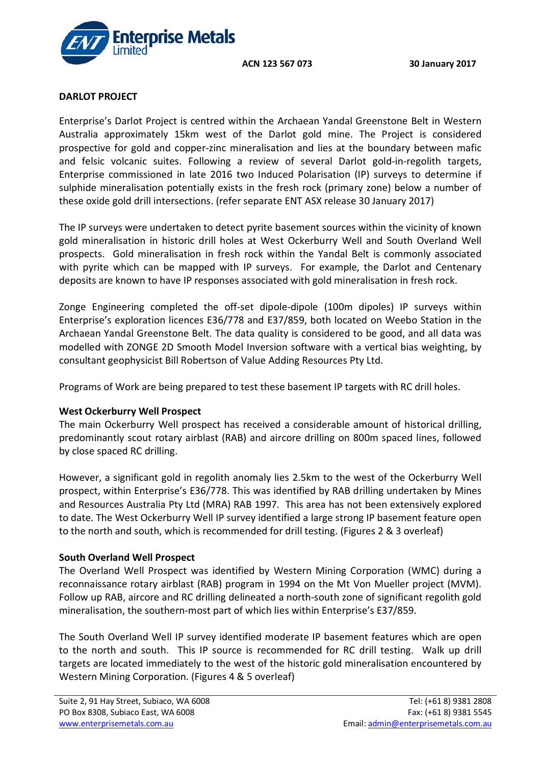**ACN 123 567 073 30 January 2017**



## **DARLOT PROJECT**

Enterprise's Darlot Project is centred within the Archaean Yandal Greenstone Belt in Western Australia approximately 15km west of the Darlot gold mine. The Project is considered prospective for gold and copper-zinc mineralisation and lies at the boundary between mafic and felsic volcanic suites. Following a review of several Darlot gold-in-regolith targets, Enterprise commissioned in late 2016 two Induced Polarisation (IP) surveys to determine if sulphide mineralisation potentially exists in the fresh rock (primary zone) below a number of these oxide gold drill intersections. (refer separate ENT ASX release 30 January 2017)

The IP surveys were undertaken to detect pyrite basement sources within the vicinity of known gold mineralisation in historic drill holes at West Ockerburry Well and South Overland Well prospects. Gold mineralisation in fresh rock within the Yandal Belt is commonly associated with pyrite which can be mapped with IP surveys. For example, the Darlot and Centenary deposits are known to have IP responses associated with gold mineralisation in fresh rock.

Zonge Engineering completed the off-set dipole-dipole (100m dipoles) IP surveys within Enterprise's exploration licences E36/778 and E37/859, both located on Weebo Station in the Archaean Yandal Greenstone Belt. The data quality is considered to be good, and all data was modelled with ZONGE 2D Smooth Model Inversion software with a vertical bias weighting, by consultant geophysicist Bill Robertson of Value Adding Resources Pty Ltd.

Programs of Work are being prepared to test these basement IP targets with RC drill holes.

## **West Ockerburry Well Prospect**

The main Ockerburry Well prospect has received a considerable amount of historical drilling, predominantly scout rotary airblast (RAB) and aircore drilling on 800m spaced lines, followed by close spaced RC drilling.

However, a significant gold in regolith anomaly lies 2.5km to the west of the Ockerburry Well prospect, within Enterprise's E36/778. This was identified by RAB drilling undertaken by Mines and Resources Australia Pty Ltd (MRA) RAB 1997. This area has not been extensively explored to date. The West Ockerburry Well IP survey identified a large strong IP basement feature open to the north and south, which is recommended for drill testing. (Figures 2 & 3 overleaf)

## **South Overland Well Prospect**

The Overland Well Prospect was identified by Western Mining Corporation (WMC) during a reconnaissance rotary airblast (RAB) program in 1994 on the Mt Von Mueller project (MVM). Follow up RAB, aircore and RC drilling delineated a north-south zone of significant regolith gold mineralisation, the southern-most part of which lies within Enterprise's E37/859.

The South Overland Well IP survey identified moderate IP basement features which are open to the north and south. This IP source is recommended for RC drill testing. Walk up drill targets are located immediately to the west of the historic gold mineralisation encountered by Western Mining Corporation. (Figures 4 & 5 overleaf)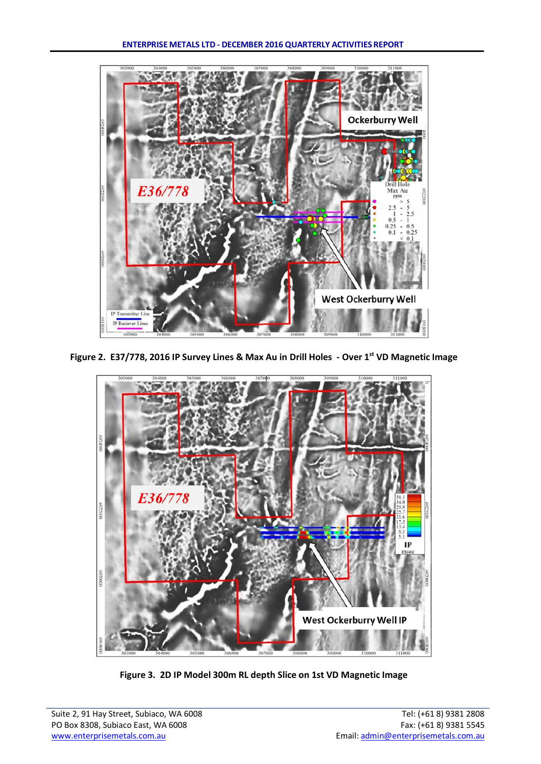

**Figure 2. E37/778, 2016 IP Survey Lines & Max Au in Drill Holes - Over 1st VD Magnetic Image**



**Figure 3. 2D IP Model 300m RL depth Slice on 1st VD Magnetic Image**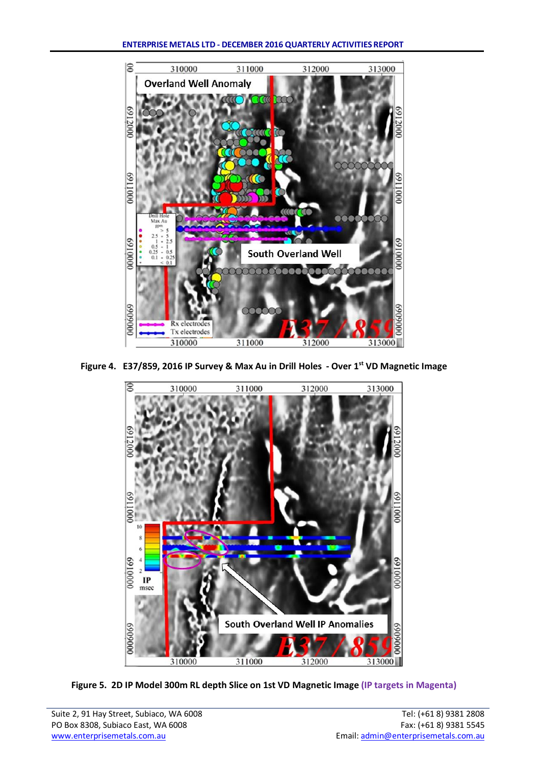

**Figure 4. E37/859, 2016 IP Survey & Max Au in Drill Holes - Over 1st VD Magnetic Image**



**Figure 5. 2D IP Model 300m RL depth Slice on 1st VD Magnetic Image (IP targets in Magenta)**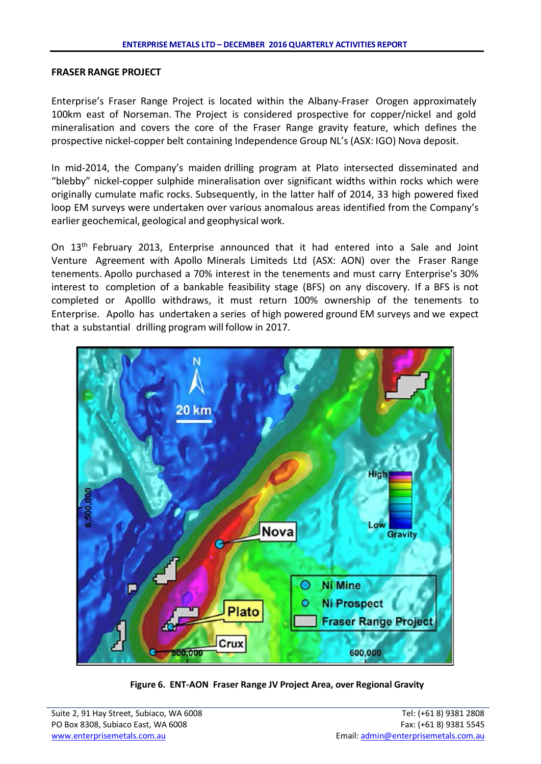#### **FRASER RANGE PROJECT**

Enterprise's Fraser Range Project is located within the Albany-Fraser Orogen approximately 100km east of Norseman. The Project is considered prospective for copper/nickel and gold mineralisation and covers the core of the Fraser Range gravity feature, which defines the prospective nickel-copper belt containing Independence Group NL's (ASX: IGO) Nova deposit.

In mid-2014, the Company's maiden drilling program at Plato intersected disseminated and "blebby" nickel-copper sulphide mineralisation over significant widths within rocks which were originally cumulate mafic rocks. Subsequently, in the latter half of 2014, 33 high powered fixed loop EM surveys were undertaken over various anomalous areas identified from the Company's earlier geochemical, geological and geophysical work.

On 13<sup>th</sup> February 2013, Enterprise announced that it had entered into a Sale and Joint Venture Agreement with Apollo Minerals Limiteds Ltd (ASX: AON) over the Fraser Range tenements. Apollo purchased a 70% interest in the tenements and must carry Enterprise's 30% interest to completion of a bankable feasibility stage (BFS) on any discovery. If a BFS is not completed or Apolllo withdraws, it must return 100% ownership of the tenements to Enterprise. Apollo has undertaken a series of high powered ground EM surveys and we expect that a substantial drilling program will follow in 2017.



**Figure 6. ENT-AON Fraser Range JV Project Area, over Regional Gravity**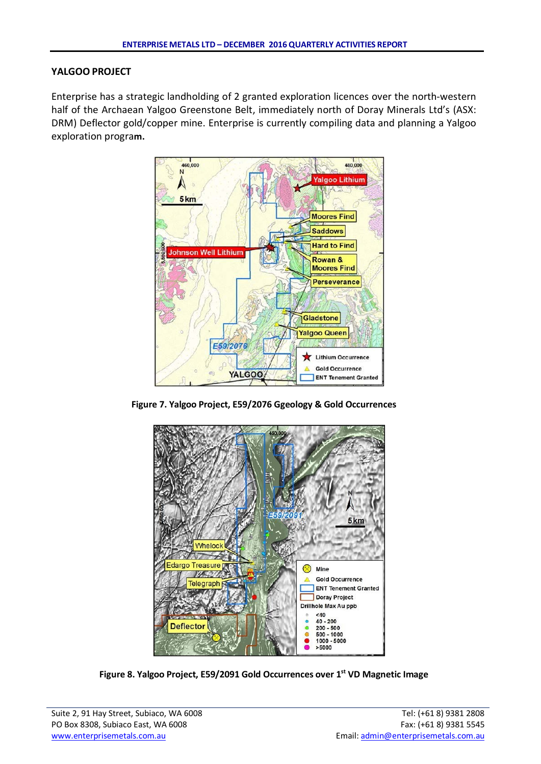## **YALGOO PROJECT**

Enterprise has a strategic landholding of 2 granted exploration licences over the north-western half of the Archaean Yalgoo Greenstone Belt, immediately north of Doray Minerals Ltd's (ASX: DRM) Deflector gold/copper mine. Enterprise is currently compiling data and planning a Yalgoo exploration progra**m.**



**Figure 7. Yalgoo Project, E59/2076 Ggeology & Gold Occurrences**



**Figure 8. Yalgoo Project, E59/2091 Gold Occurrences over 1st VD Magnetic Image**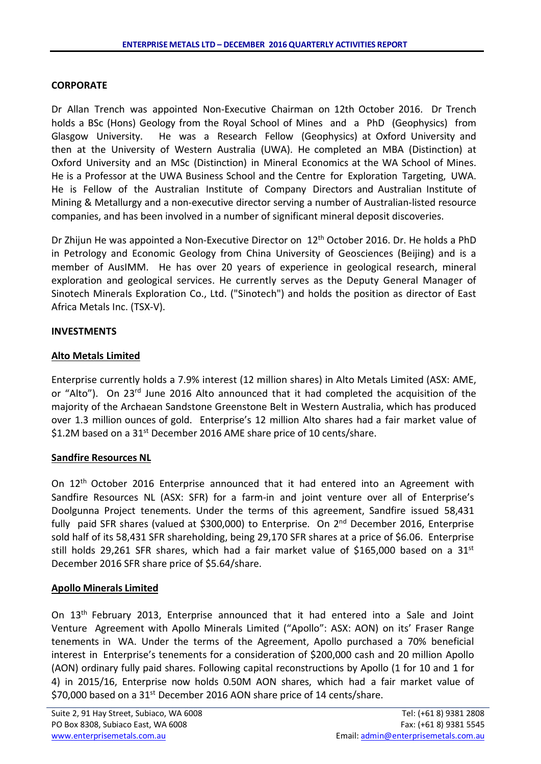## **CORPORATE**

Dr Allan Trench was appointed Non-Executive Chairman on 12th October 2016. Dr Trench holds a BSc (Hons) Geology from the Royal School of Mines and a PhD (Geophysics) from Glasgow University. He was a Research Fellow (Geophysics) at Oxford University and then at the University of Western Australia (UWA). He completed an MBA (Distinction) at Oxford University and an MSc (Distinction) in Mineral Economics at the WA School of Mines. He is a Professor at the UWA Business School and the Centre for Exploration Targeting, UWA. He is Fellow of the Australian Institute of Company Directors and Australian Institute of Mining & Metallurgy and a non-executive director serving a number of Australian-listed resource companies, and has been involved in a number of significant mineral deposit discoveries.

Dr Zhijun He was appointed a Non-Executive Director on 12<sup>th</sup> October 2016. Dr. He holds a PhD in Petrology and Economic Geology from China University of Geosciences (Beijing) and is a member of AusIMM. He has over 20 years of experience in geological research, mineral exploration and geological services. He currently serves as the Deputy General Manager of Sinotech Minerals Exploration Co., Ltd. ("Sinotech") and holds the position as director of East Africa Metals Inc. (TSX-V).

## **INVESTMENTS**

## **Alto Metals Limited**

Enterprise currently holds a 7.9% interest (12 million shares) in Alto Metals Limited (ASX: AME, or "Alto"). On 23rd June 2016 Alto announced that it had completed the acquisition of the majority of the Archaean Sandstone Greenstone Belt in Western Australia, which has produced over 1.3 million ounces of gold. Enterprise's 12 million Alto shares had a fair market value of \$1.2M based on a 31<sup>st</sup> December 2016 AME share price of 10 cents/share.

## **Sandfire Resources NL**

On 12th October 2016 Enterprise announced that it had entered into an Agreement with Sandfire Resources NL (ASX: SFR) for a farm-in and joint venture over all of Enterprise's Doolgunna Project tenements. Under the terms of this agreement, Sandfire issued 58,431 fully paid SFR shares (valued at \$300,000) to Enterprise. On 2<sup>nd</sup> December 2016, Enterprise sold half of its 58,431 SFR shareholding, being 29,170 SFR shares at a price of \$6.06. Enterprise still holds 29,261 SFR shares, which had a fair market value of \$165,000 based on a 31<sup>st</sup> December 2016 SFR share price of \$5.64/share.

## **Apollo Minerals Limited**

On 13th February 2013, Enterprise announced that it had entered into a Sale and Joint Venture Agreement with Apollo Minerals Limited ("Apollo": ASX: AON) on its' Fraser Range tenements in WA. Under the terms of the Agreement, Apollo purchased a 70% beneficial interest in Enterprise's tenements for a consideration of \$200,000 cash and 20 million Apollo (AON) ordinary fully paid shares. Following capital reconstructions by Apollo (1 for 10 and 1 for 4) in 2015/16, Enterprise now holds 0.50M AON shares, which had a fair market value of \$70,000 based on a 31<sup>st</sup> December 2016 AON share price of 14 cents/share.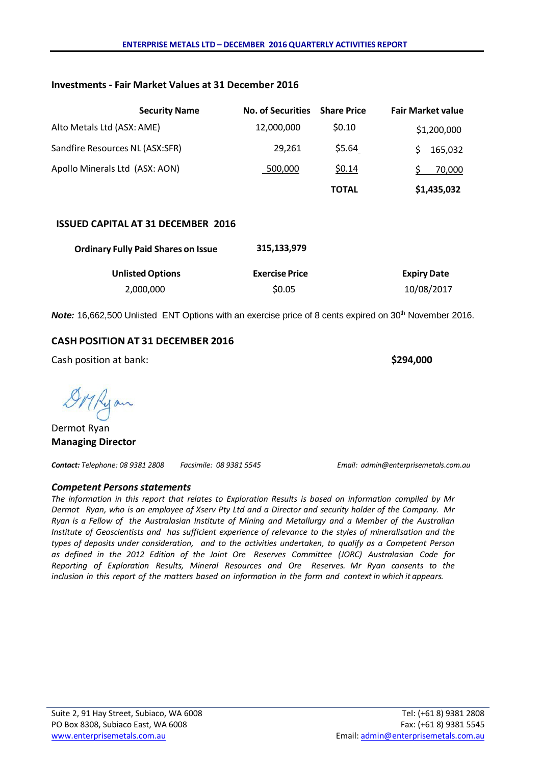#### **Investments - Fair Market Values at 31 December 2016**

|                                 | <b>Security Name</b> | <b>No. of Securities</b> | <b>Share Price</b> | <b>Fair Market value</b> |
|---------------------------------|----------------------|--------------------------|--------------------|--------------------------|
| Alto Metals Ltd (ASX: AME)      |                      | 12,000,000               | \$0.10             | \$1,200,000              |
| Sandfire Resources NL (ASX:SFR) |                      | 29.261                   | \$5.64             | 165,032                  |
| Apollo Minerals Ltd (ASX: AON)  |                      | 500,000                  | \$0.14             | 70,000                   |
|                                 |                      |                          | <b>TOTAL</b>       | \$1,435,032              |

#### **ISSUED CAPITAL AT 31 DECEMBER 2016**

| <b>Ordinary Fully Paid Shares on Issue</b> | 315.133.979           |                    |
|--------------------------------------------|-----------------------|--------------------|
| <b>Unlisted Options</b>                    | <b>Exercise Price</b> | <b>Expiry Date</b> |
| 2,000,000                                  | \$0.05                | 10/08/2017         |

**Note:** 16,662,500 Unlisted ENT Options with an exercise price of 8 cents expired on 30<sup>th</sup> November 2016.

## **CASH POSITION AT 31 DECEMBER 2016**

Cash position at bank: **\$294,000**

DMRyan

Dermot Ryan **Managing Director**

*Contact: Telephone: 08 9381 2808 Facsimile: 08 9381 5545 Email: [admin@enterprisemetals.com.au](mailto:admin@enterprisemetals.com.au)*

#### *Competent Persons statements*

*The information in this report that relates to Exploration Results is based on information compiled by Mr Dermot Ryan, who is an employee of Xserv Pty Ltd and a Director and security holder of the Company. Mr Ryan is a Fellow of the Australasian Institute of Mining and Metallurgy and a Member of the Australian Institute of Geoscientists and has sufficient experience of relevance to the styles of mineralisation and the types of deposits under consideration, and to the activities undertaken, to qualify as a Competent Person as defined in the 2012 Edition of the Joint Ore Reserves Committee (JORC) Australasian Code for Reporting of Exploration Results, Mineral Resources and Ore Reserves. Mr Ryan consents to the* inclusion in this report of the matters based on information in the form and context in which it appears.